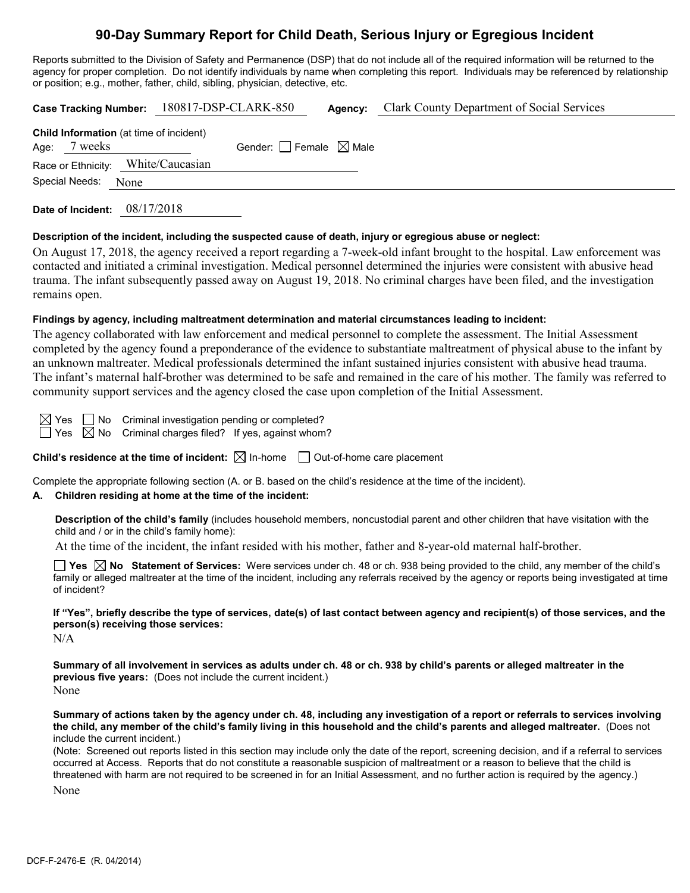# **90-Day Summary Report for Child Death, Serious Injury or Egregious Incident**

Reports submitted to the Division of Safety and Permanence (DSP) that do not include all of the required information will be returned to the agency for proper completion. Do not identify individuals by name when completing this report. Individuals may be referenced by relationship or position; e.g., mother, father, child, sibling, physician, detective, etc.

| Case Tracking Number: 180817-DSP-CLARK-850                     |  |                                 | Agency: | <b>Clark County Department of Social Services</b> |
|----------------------------------------------------------------|--|---------------------------------|---------|---------------------------------------------------|
| <b>Child Information</b> (at time of incident)<br>Age: 7 weeks |  | Gender: Female $\boxtimes$ Male |         |                                                   |
| Race or Ethnicity: White/Caucasian                             |  |                                 |         |                                                   |
| Special Needs: None                                            |  |                                 |         |                                                   |
|                                                                |  |                                 |         |                                                   |

**Date of Incident:** 08/17/2018

#### **Description of the incident, including the suspected cause of death, injury or egregious abuse or neglect:**

On August 17, 2018, the agency received a report regarding a 7-week-old infant brought to the hospital. Law enforcement was contacted and initiated a criminal investigation. Medical personnel determined the injuries were consistent with abusive head trauma. The infant subsequently passed away on August 19, 2018. No criminal charges have been filed, and the investigation remains open.

#### **Findings by agency, including maltreatment determination and material circumstances leading to incident:**

The agency collaborated with law enforcement and medical personnel to complete the assessment. The Initial Assessment completed by the agency found a preponderance of the evidence to substantiate maltreatment of physical abuse to the infant by an unknown maltreater. Medical professionals determined the infant sustained injuries consistent with abusive head trauma. The infant's maternal half-brother was determined to be safe and remained in the care of his mother. The family was referred to community support services and the agency closed the case upon completion of the Initial Assessment.

 $\boxtimes$  Yes  $\Box$  No Criminal investigation pending or completed?

 $\Box$  Yes  $\boxtimes$  No Criminal charges filed? If yes, against whom?

**Child's residence at the time of incident:**  $\boxtimes$  In-home  $\Box$  Out-of-home care placement

Complete the appropriate following section (A. or B. based on the child's residence at the time of the incident).

#### **A. Children residing at home at the time of the incident:**

**Description of the child's family** (includes household members, noncustodial parent and other children that have visitation with the child and / or in the child's family home):

At the time of the incident, the infant resided with his mother, father and 8-year-old maternal half-brother.

**Yes No Statement of Services:** Were services under ch. 48 or ch. 938 being provided to the child, any member of the child's family or alleged maltreater at the time of the incident, including any referrals received by the agency or reports being investigated at time of incident?

**If "Yes", briefly describe the type of services, date(s) of last contact between agency and recipient(s) of those services, and the person(s) receiving those services:**

N/A

**Summary of all involvement in services as adults under ch. 48 or ch. 938 by child's parents or alleged maltreater in the previous five years:** (Does not include the current incident.) None

**Summary of actions taken by the agency under ch. 48, including any investigation of a report or referrals to services involving the child, any member of the child's family living in this household and the child's parents and alleged maltreater.** (Does not include the current incident.)

(Note: Screened out reports listed in this section may include only the date of the report, screening decision, and if a referral to services occurred at Access. Reports that do not constitute a reasonable suspicion of maltreatment or a reason to believe that the child is threatened with harm are not required to be screened in for an Initial Assessment, and no further action is required by the agency.)

None